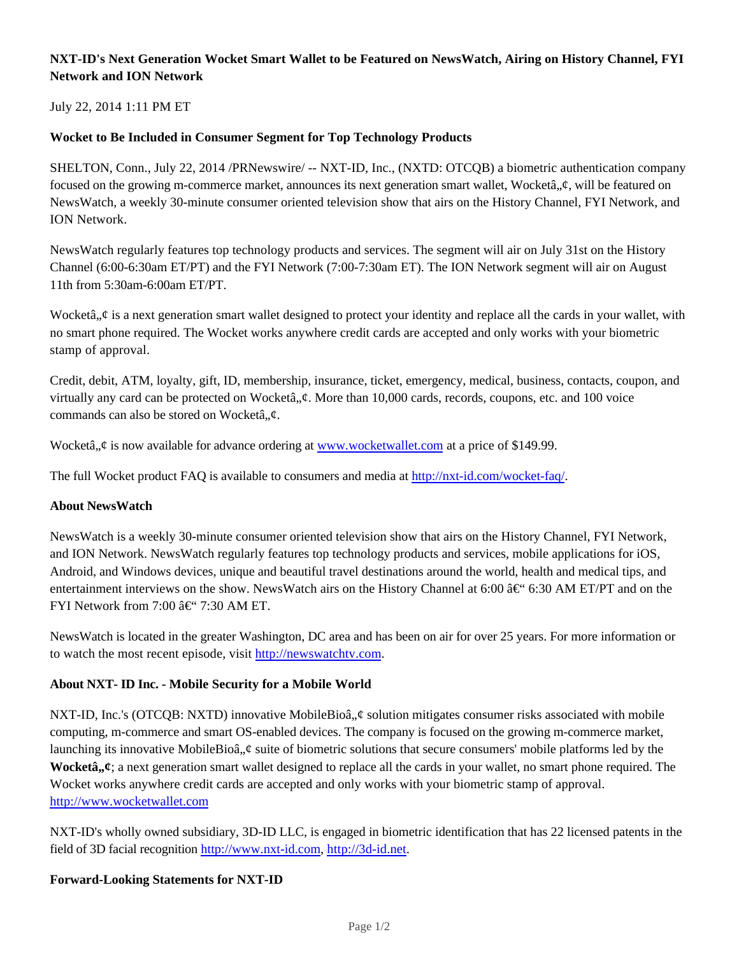# **NXT-ID's Next Generation Wocket Smart Wallet to be Featured on NewsWatch, Airing on History Channel, FYI Network and ION Network**

## July 22, 2014 1:11 PM ET

## **Wocket to Be Included in Consumer Segment for Top Technology Products**

SHELTON, Conn., July 22, 2014 /PRNewswire/ -- NXT-ID, Inc., (NXTD: OTCQB) a biometric authentication company focused on the growing m-commerce market, announces its next generation smart wallet, Wocketâ,  $\phi$ , will be featured on NewsWatch, a weekly 30-minute consumer oriented television show that airs on the History Channel, FYI Network, and ION Network.

NewsWatch regularly features top technology products and services. The segment will air on July 31st on the History Channel (6:00-6:30am ET/PT) and the FYI Network (7:00-7:30am ET). The ION Network segment will air on August 11th from 5:30am-6:00am ET/PT.

Wocketâ,  $\phi$  is a next generation smart wallet designed to protect your identity and replace all the cards in your wallet, with no smart phone required. The Wocket works anywhere credit cards are accepted and only works with your biometric stamp of approval.

Credit, debit, ATM, loyalty, gift, ID, membership, insurance, ticket, emergency, medical, business, contacts, coupon, and virtually any card can be protected on Wocketâ,  $\phi$ . More than 10,000 cards, records, coupons, etc. and 100 voice commands can also be stored on Wocketâ, $\phi$ .

Wocketâ,  $\phi$  is now available for advance ordering at www.wocketwallet.com at a price of \$149.99.

The full Wocket product FAQ is available to consumers and media at http://nxt-id.com/wocket-faq/.

#### **About NewsWatch**

NewsWatch is a weekly 30-minute consumer oriented television show that airs on the History Channel, FYI Network, and ION Network. NewsWatch regularly features top technology products and services, mobile applications for iOS, Android, and Windows devices, unique and beautiful travel destinations around the world, health and medical tips, and entertainment interviews on the show. NewsWatch airs on the History Channel at 6:00  $\hat{a} \in \hat{b}$  6:30 AM ET/PT and on the FYI Network from 7:00  $\hat{a} \in$  '' 7:30 AM ET.

NewsWatch is located in the greater Washington, DC area and has been on air for over 25 years. For more information or to watch the most recent episode, visit http://newswatchtv.com.

#### **About NXT- ID Inc. - Mobile Security for a Mobile World**

NXT-ID, Inc.'s (OTCQB: NXTD) innovative MobileBioâ,  $\phi$  solution mitigates consumer risks associated with mobile computing, m-commerce and smart OS-enabled devices. The company is focused on the growing m-commerce market, launching its innovative MobileBioâ,  $\phi$  suite of biometric solutions that secure consumers' mobile platforms led by the **Wocketâ**,  $\boldsymbol{\psi}$ ; a next generation smart wallet designed to replace all the cards in your wallet, no smart phone required. The Wocket works anywhere credit cards are accepted and only works with your biometric stamp of approval. http://www.wocketwallet.com

NXT-ID's wholly owned subsidiary, 3D-ID LLC, is engaged in biometric identification that has 22 licensed patents in the field of 3D facial recognition http://www.nxt-id.com, http://3d-id.net.

#### **Forward-Looking Statements for NXT-ID**